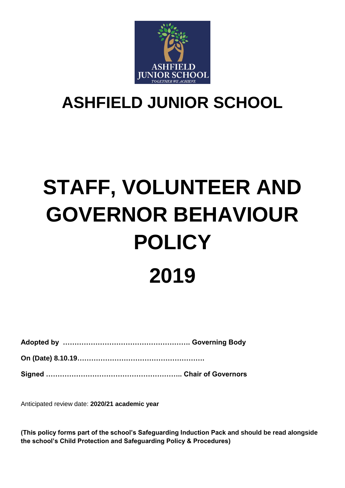

# **ASHFIELD JUNIOR SCHOOL**

# **STAFF, VOLUNTEER AND GOVERNOR BEHAVIOUR POLICY 2019**

**Adopted by ………………………………………………. Governing Body**

**On (Date) 8.10.19……………………………………………….**

**Signed ………………………………………………….. Chair of Governors**

Anticipated review date: **2020/21 academic year**

**(This policy forms part of the school's Safeguarding Induction Pack and should be read alongside the school's Child Protection and Safeguarding Policy & Procedures)**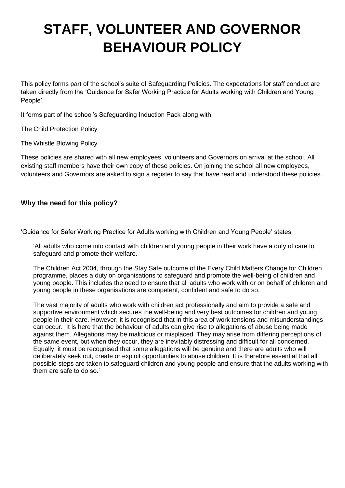# **STAFF, VOLUNTEER AND GOVERNOR BEHAVIOUR POLICY**

This policy forms part of the school's suite of Safeguarding Policies. The expectations for staff conduct are taken directly from the 'Guidance for Safer Working Practice for Adults working with Children and Young People'.

It forms part of the school's Safeguarding Induction Pack along with:

The Child Protection Policy

The Whistle Blowing Policy

These policies are shared with all new employees, volunteers and Governors on arrival at the school. All existing staff members have their own copy of these policies. On joining the school all new employees, volunteers and Governors are asked to sign a register to say that have read and understood these policies.

# **Why the need for this policy?**

'Guidance for Safer Working Practice for Adults working with Children and Young People' states:

'All adults who come into contact with children and young people in their work have a duty of care to safeguard and promote their welfare.

The Children Act 2004, through the Stay Safe outcome of the Every Child Matters Change for Children programme, places a duty on organisations to safeguard and promote the well-being of children and young people. This includes the need to ensure that all adults who work with or on behalf of children and young people in these organisations are competent, confident and safe to do so.

The vast majority of adults who work with children act professionally and aim to provide a safe and supportive environment which secures the well-being and very best outcomes for children and young people in their care. However, it is recognised that in this area of work tensions and misunderstandings can occur. It is here that the behaviour of adults can give rise to allegations of abuse being made against them. Allegations may be malicious or misplaced. They may arise from differing perceptions of the same event, but when they occur, they are inevitably distressing and difficult for all concerned. Equally, it must be recognised that some allegations will be genuine and there are adults who will deliberately seek out, create or exploit opportunities to abuse children. It is therefore essential that all possible steps are taken to safeguard children and young people and ensure that the adults working with them are safe to do so.'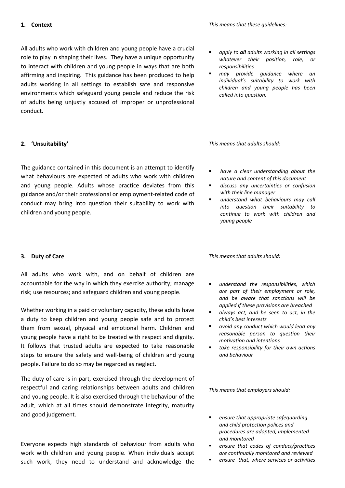#### **1. Context**

All adults who work with children and young people have a crucial role to play in shaping their lives. They have a unique opportunity to interact with children and young people in ways that are both affirming and inspiring. This guidance has been produced to help adults working in all settings to establish safe and responsive environments which safeguard young people and reduce the risk of adults being unjustly accused of improper or unprofessional conduct.

# **2. 'Unsuitability'**

The guidance contained in this document is an attempt to identify what behaviours are expected of adults who work with children and young people. Adults whose practice deviates from this guidance and/or their professional or employment-related code of conduct may bring into question their suitability to work with children and young people.

# **3. Duty of Care**

All adults who work with, and on behalf of children are accountable for the way in which they exercise authority; manage risk; use resources; and safeguard children and young people.

Whether working in a paid or voluntary capacity, these adults have a duty to keep children and young people safe and to protect them from sexual, physical and emotional harm. Children and young people have a right to be treated with respect and dignity. It follows that trusted adults are expected to take reasonable steps to ensure the safety and well-being of children and young people. Failure to do so may be regarded as neglect.

The duty of care is in part, exercised through the development of respectful and caring relationships between adults and children and young people. It is also exercised through the behaviour of the adult, which at all times should demonstrate integrity, maturity and good judgement.

Everyone expects high standards of behaviour from adults who work with children and young people. When individuals accept such work, they need to understand and acknowledge the

- *apply to all adults working in all settings whatever their position, role, or responsibilities*
- *may provide guidance where an individual's suitability to work with children and young people has been called into question.*

*This means that adults should:*

- *have a clear understanding about the nature and content of this document*
- *discuss any uncertainties or confusion with their line manager*
- *understand what behaviours may call into question their suitability to continue to work with children and young people*

*This means that adults should:*

- *understand the responsibilities, which are part of their employment or role, and be aware that sanctions will be applied if these provisions are breached*
- *always act, and be seen to act, in the child's best interests*
- *avoid any conduct which would lead any reasonable person to question their motivation and intentions*
- *take responsibility for their own actions and behaviour*

*This means that employers should:*

- *ensure that appropriate safeguarding and child protection polices and procedures are adopted, implemented and monitored*
- *ensure that codes of conduct/practices are continually monitored and reviewed*
- *ensure that, where services or activities*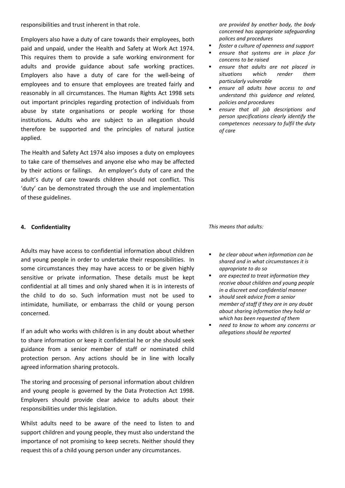responsibilities and trust inherent in that role.

Employers also have a duty of care towards their employees, both paid and unpaid, under the Health and Safety at Work Act 1974. This requires them to provide a safe working environment for adults and provide guidance about safe working practices. Employers also have a duty of care for the well-being of employees and to ensure that employees are treated fairly and reasonably in all circumstances. The Human Rights Act 1998 sets out important principles regarding protection of individuals from abuse by state organisations or people working for those institutions**.** Adults who are subject to an allegation should therefore be supported and the principles of natural justice applied.

The Health and Safety Act 1974 also imposes a duty on employees to take care of themselves and anyone else who may be affected by their actions or failings. An employer's duty of care and the adult's duty of care towards children should not conflict. This 'duty' can be demonstrated through the use and implementation of these guidelines.

#### **4. Confidentiality**

Adults may have access to confidential information about children and young people in order to undertake their responsibilities. In some circumstances they may have access to or be given highly sensitive or private information. These details must be kept confidential at all times and only shared when it is in interests of the child to do so. Such information must not be used to intimidate, humiliate, or embarrass the child or young person concerned.

If an adult who works with children is in any doubt about whether to share information or keep it confidential he or she should seek guidance from a senior member of staff or nominated child protection person. Any actions should be in line with locally agreed information sharing protocols.

The storing and processing of personal information about children and young people is governed by the Data Protection Act 1998. Employers should provide clear advice to adults about their responsibilities under this legislation.

Whilst adults need to be aware of the need to listen to and support children and young people, they must also understand the importance of not promising to keep secrets. Neither should they request this of a child young person under any circumstances.

*are provided by another body, the body concerned has appropriate safeguarding polices and procedures* 

- *foster a culture of openness and support*
- *ensure that systems are in place for concerns to be raised*
- *ensure that adults are not placed in situations which render them particularly vulnerable*
- *ensure all adults have access to and understand this guidance and related, policies and procedures*
- *ensure that all job descriptions and person specifications clearly identify the competences necessary to fulfil the duty of care*

*This means that adults:*

- *be clear about when information can be shared and in what circumstances it is appropriate to do so*
- *are expected to treat information they receive about children and young people in a discreet and confidential manner*
- *should seek advice from a senior member of staff if they are in any doubt about sharing information they hold or which has been requested of them*
- *need to know to whom any concerns or allegations should be reported*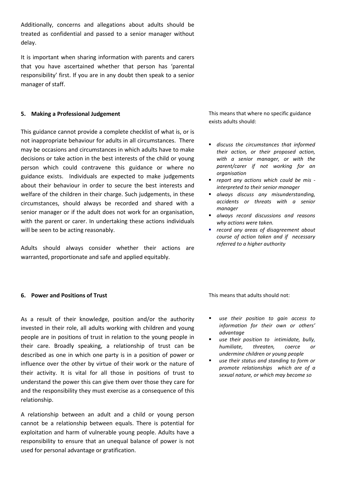Additionally, concerns and allegations about adults should be treated as confidential and passed to a senior manager without delay.

It is important when sharing information with parents and carers that you have ascertained whether that person has 'parental responsibility' first. If you are in any doubt then speak to a senior manager of staff.

#### **5. Making a Professional Judgement**

This guidance cannot provide a complete checklist of what is, or is not inappropriate behaviour for adults in all circumstances. There may be occasions and circumstances in which adults have to make decisions or take action in the best interests of the child or young person which could contravene this guidance or where no guidance exists. Individuals are expected to make judgements about their behaviour in order to secure the best interests and welfare of the children in their charge. Such judgements, in these circumstances, should always be recorded and shared with a senior manager or if the adult does not work for an organisation, with the parent or carer. In undertaking these actions individuals will be seen to be acting reasonably.

Adults should always consider whether their actions are warranted, proportionate and safe and applied equitably.

This means that where no specific guidance exists adults should:

- *discuss the circumstances that informed their action, or their proposed action, with a senior manager, or with the parent/carer if not working for an organisation*
- *report any actions which could be mis interpreted to their senior manager*
- *always discuss any misunderstanding, accidents or threats with a senior manager*
- *always record discussions and reasons why actions were taken.*
- *record any areas of disagreement about course of action taken and if necessary referred to a higher authority*

# **6. Power and Positions of Trust**

As a result of their knowledge, position and/or the authority invested in their role, all adults working with children and young people are in positions of trust in relation to the young people in their care. Broadly speaking, a relationship of trust can be described as one in which one party is in a position of power or influence over the other by virtue of their work or the nature of their activity. It is vital for all those in positions of trust to understand the power this can give them over those they care for and the responsibility they must exercise as a consequence of this relationship.

A relationship between an adult and a child or young person cannot be a relationship between equals. There is potential for exploitation and harm of vulnerable young people. Adults have a responsibility to ensure that an unequal balance of power is not used for personal advantage or gratification.

- *use their position to gain access to information for their own or others' advantage*
- *use their position to intimidate, bully, humiliate, threaten, coerce or undermine children or young people*
- *use their status and standing to form or promote relationships which are of a sexual nature, or which may become so*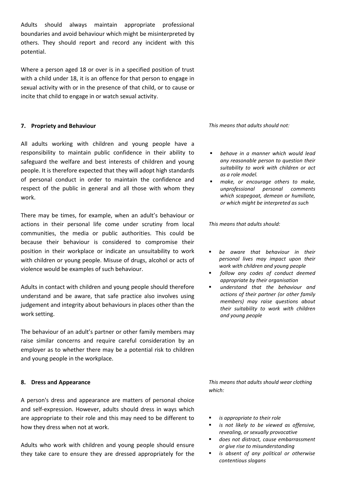Adults should always maintain appropriate professional boundaries and avoid behaviour which might be misinterpreted by others. They should report and record any incident with this potential.

Where a person aged 18 or over is in a specified position of trust with a child under 18, it is an offence for that person to engage in sexual activity with or in the presence of that child, or to cause or incite that child to engage in or watch sexual activity.

#### **7. Propriety and Behaviour**

All adults working with children and young people have a responsibility to maintain public confidence in their ability to safeguard the welfare and best interests of children and young people. It is therefore expected that they will adopt high standards of personal conduct in order to maintain the confidence and respect of the public in general and all those with whom they work.

There may be times, for example, when an adult's behaviour or actions in their personal life come under scrutiny from local communities, the media or public authorities. This could be because their behaviour is considered to compromise their position in their workplace or indicate an unsuitability to work with children or young people. Misuse of drugs, alcohol or acts of violence would be examples of such behaviour.

Adults in contact with children and young people should therefore understand and be aware, that safe practice also involves using judgement and integrity about behaviours in places other than the work setting.

The behaviour of an adult's partner or other family members may raise similar concerns and require careful consideration by an employer as to whether there may be a potential risk to children and young people in the workplace.

#### **8. Dress and Appearance**

A person's dress and appearance are matters of personal choice and self-expression. However, adults should dress in ways which are appropriate to their role and this may need to be different to how they dress when not at work.

Adults who work with children and young people should ensure they take care to ensure they are dressed appropriately for the *This means that adults should not:*

- *behave in a manner which would lead any reasonable person to question their suitability to work with children or act as a role model.*
- *make, or encourage others to make, unprofessional personal comments which scapegoat, demean or humiliate, or which might be interpreted as such*

*This means that adults should:*

- *be aware that behaviour in their personal lives may impact upon their work with children and young people*
- *follow any codes of conduct deemed appropriate by their organisation*
- *understand that the behaviour and actions of their partner (or other family members) may raise questions about their suitability to work with children and young people*

*This means that adults should wear clothing which:*

- *is appropriate to their role*
- *is not likely to be viewed as offensive, revealing, or sexually provocative*
- *does not distract, cause embarrassment or give rise to misunderstanding*
- *is absent of any political or otherwise contentious slogans*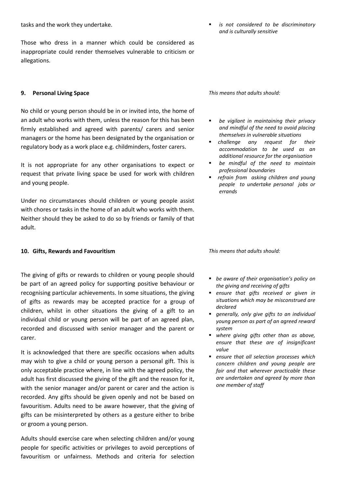tasks and the work they undertake.

Those who dress in a manner which could be considered as inappropriate could render themselves vulnerable to criticism or allegations.

# **9. Personal Living Space**

No child or young person should be in or invited into, the home of an adult who works with them, unless the reason for this has been firmly established and agreed with parents/ carers and senior managers or the home has been designated by the organisation or regulatory body as a work place e.g. childminders, foster carers.

It is not appropriate for any other organisations to expect or request that private living space be used for work with children and young people.

Under no circumstances should children or young people assist with chores or tasks in the home of an adult who works with them. Neither should they be asked to do so by friends or family of that adult.

#### **10. Gifts, Rewards and Favouritism**

The giving of gifts or rewards to children or young people should be part of an agreed policy for supporting positive behaviour or recognising particular achievements. In some situations, the giving of gifts as rewards may be accepted practice for a group of children, whilst in other situations the giving of a gift to an individual child or young person will be part of an agreed plan, recorded and discussed with senior manager and the parent or carer.

It is acknowledged that there are specific occasions when adults may wish to give a child or young person a personal gift. This is only acceptable practice where, in line with the agreed policy, the adult has first discussed the giving of the gift and the reason for it, with the senior manager and/or parent or carer and the action is recorded. Any gifts should be given openly and not be based on favouritism. Adults need to be aware however, that the giving of gifts can be misinterpreted by others as a gesture either to bribe or groom a young person.

Adults should exercise care when selecting children and/or young people for specific activities or privileges to avoid perceptions of favouritism or unfairness. Methods and criteria for selection *This means that adults should:*

- *be vigilant in maintaining their privacy and mindful of the need to avoid placing themselves in vulnerable situations*
- *challenge any request for their accommodation to be used as an additional resource for the organisation*
- *be mindful of the need to maintain professional boundaries*
- *refrain from asking children and young people to undertake personal jobs or errands*

*This means that adults should:* 

- *be aware of their organisation's policy on the giving and receiving of gifts*
- *ensure that gifts received or given in situations which may be misconstrued are declared*
- *generally, only give gifts to an individual young person as part of an agreed reward system*
- *where giving gifts other than as above, ensure that these are of insignificant value*
- *ensure that all selection processes which concern children and young people are fair and that wherever practicable these are undertaken and agreed by more than one member of staff*

#### *is not considered to be discriminatory and is culturally sensitive*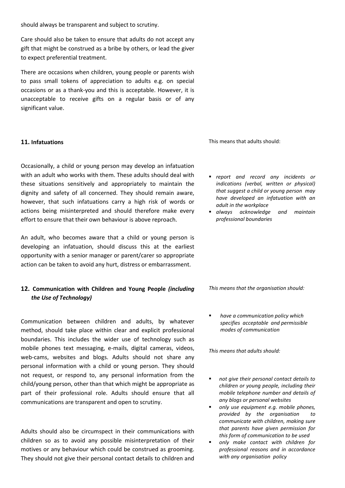should always be transparent and subject to scrutiny.

Care should also be taken to ensure that adults do not accept any gift that might be construed as a bribe by others, or lead the giver to expect preferential treatment.

There are occasions when children, young people or parents wish to pass small tokens of appreciation to adults e.g. on special occasions or as a thank-you and this is acceptable. However, it is unacceptable to receive gifts on a regular basis or of any significant value.

# **11. Infatuations**

Occasionally, a child or young person may develop an infatuation with an adult who works with them. These adults should deal with these situations sensitively and appropriately to maintain the dignity and safety of all concerned. They should remain aware, however, that such infatuations carry a high risk of words or actions being misinterpreted and should therefore make every effort to ensure that their own behaviour is above reproach.

An adult, who becomes aware that a child or young person is developing an infatuation, should discuss this at the earliest opportunity with a senior manager or parent/carer so appropriate action can be taken to avoid any hurt, distress or embarrassment.

# **12. Communication with Children and Young People** *(including the Use of Technology)*

Communication between children and adults, by whatever method, should take place within clear and explicit professional boundaries. This includes the wider use of technology such as mobile phones text messaging, e-mails, digital cameras, videos, web-cams, websites and blogs. Adults should not share any personal information with a child or young person. They should not request, or respond to, any personal information from the child/young person, other than that which might be appropriate as part of their professional role. Adults should ensure that all communications are transparent and open to scrutiny.

Adults should also be circumspect in their communications with children so as to avoid any possible misinterpretation of their motives or any behaviour which could be construed as grooming. They should not give their personal contact details to children and

This means that adults should:

- *report and record any incidents or indications (verbal, written or physical) that suggest a child or young person may have developed an infatuation with an adult in the workplace*
- *always acknowledge and maintain professional boundaries*

*This means that the organisation should:*

 *have a communication policy which specifies acceptable and permissible modes of communication* 

- *not give their personal contact details to children or young people, including their mobile telephone number and details of any blogs or personal websites*
- *only use equipment e.g. mobile phones, provided by the organisation to communicate with children, making sure that parents have given permission for this form of communication to be used*
- *only make contact with children for professional reasons and in accordance with any organisation policy*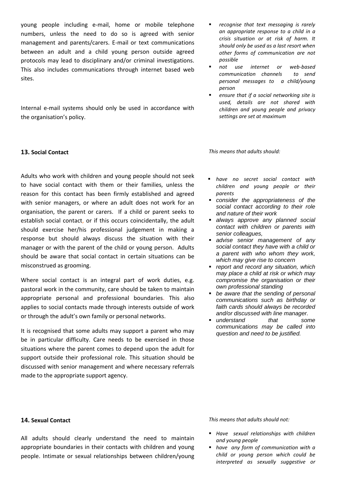young people including e-mail, home or mobile telephone numbers, unless the need to do so is agreed with senior management and parents/carers. E-mail or text communications between an adult and a child young person outside agreed protocols may lead to disciplinary and/or criminal investigations. This also includes communications through internet based web sites.

Internal e-mail systems should only be used in accordance with the organisation's policy.

#### **13. Social Contact**

Adults who work with children and young people should not seek to have social contact with them or their families, unless the reason for this contact has been firmly established and agreed with senior managers, or where an adult does not work for an organisation, the parent or carers. If a child or parent seeks to establish social contact, or if this occurs coincidentally, the adult should exercise her/his professional judgement in making a response but should always discuss the situation with their manager or with the parent of the child or young person. Adults should be aware that social contact in certain situations can be misconstrued as grooming.

Where social contact is an integral part of work duties, e.g. pastoral work in the community, care should be taken to maintain appropriate personal and professional boundaries. This also applies to social contacts made through interests outside of work or through the adult's own family or personal networks.

It is recognised that some adults may support a parent who may be in particular difficulty. Care needs to be exercised in those situations where the parent comes to depend upon the adult for support outside their professional role. This situation should be discussed with senior management and where necessary referrals made to the appropriate support agency.

- *recognise that text messaging is rarely an appropriate response to a child in a crisis situation or at risk of harm. It should only be used as a last resort when other forms of communication are not possible*
- *not use internet or web-based communication channels to send personal messages to a child/young person*
- *ensure that if a social networking site is used, details are not shared with children and young people and privacy settings are set at maximum*

*This means that adults should:*

- *have no secret social contact with children and young people or their parents*
- *consider the appropriateness of the social contact according to their role and nature of their work*
- *always approve any planned social contact with children or parents with senior colleagues,*
- *advise senior management of any social contact they have with a child or a parent with who whom they work, which may give rise to concern*
- *report and record any situation, which may place a child at risk or which may compromise the organisation or their own professional standing*
- *be aware that the sending of personal communications such as birthday or faith cards should always be recorded and/or discussed with line manager.*
- *understand that some communications may be called into question and need to be justified.*

#### **14. Sexual Contact**

All adults should clearly understand the need to maintain appropriate boundaries in their contacts with children and young people. Intimate or sexual relationships between children/young

- *Have sexual relationships with children and young people*
- *have any form of communication with a child or young person which could be interpreted as sexually suggestive or*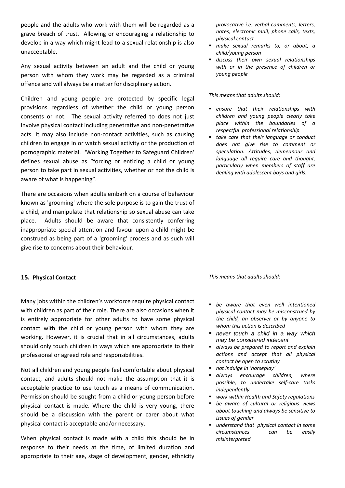people and the adults who work with them will be regarded as a grave breach of trust. Allowing or encouraging a relationship to develop in a way which might lead to a sexual relationship is also unacceptable.

Any sexual activity between an adult and the child or young person with whom they work may be regarded as a criminal offence and will always be a matter for disciplinary action.

Children and young people are protected by specific legal provisions regardless of whether the child or young person consents or not. The sexual activity referred to does not just involve physical contact including penetrative and non-penetrative acts. It may also include non-contact activities, such as causing children to engage in or watch sexual activity or the production of pornographic material. 'Working Together to Safeguard Children' defines *s*exual abuse as "forcing or enticing a child or young person to take part in sexual activities, whether or not the child is aware of what is happening".

There are occasions when adults embark on a course of behaviour known as 'grooming' where the sole purpose is to gain the trust of a child, and manipulate that relationship so sexual abuse can take place. Adults should be aware that consistently conferring inappropriate special attention and favour upon a child might be construed as being part of a 'grooming' process and as such will give rise to concerns about their behaviour.

#### **15. Physical Contact**

Many jobs within the children's workforce require physical contact with children as part of their role. There are also occasions when it is entirely appropriate for other adults to have some physical contact with the child or young person with whom they are working. However, it is crucial that in all circumstances, adults should only touch children in ways which are appropriate to their professional or agreed role and responsibilities.

Not all children and young people feel comfortable about physical contact, and adults should not make the assumption that it is acceptable practice to use touch as a means of communication. Permission should be sought from a child or young person before physical contact is made. Where the child is very young, there should be a discussion with the parent or carer about what physical contact is acceptable and/or necessary.

When physical contact is made with a child this should be in response to their needs at the time, of limited duration and appropriate to their age, stage of development, gender, ethnicity *provocative i.e. verbal comments, letters, notes, electronic mail, phone calls, texts, physical contact*

- *make sexual remarks to, or about, a child/young person*
- *discuss their own sexual relationships with or in the presence of children or young people*

*This means that adults should:*

- *ensure that their relationships with children and young people clearly take place within the boundaries of a respectful professional relationship*
- *take care that their language or conduct does not give rise to comment or speculation. Attitudes, demeanour and language all require care and thought, particularly when members of staff are dealing with adolescent boys and girls.*

- *be aware that even well intentioned physical contact may be misconstrued by the child, an observer or by anyone to whom this action is described*
- *never touch a child in a way which may be considered indecent*
- *always be prepared to report and explain actions and accept that all physical contact be open to scrutiny*
- *not indulge in 'horseplay'*
- *always encourage children, where possible, to undertake self-care tasks independently*
- *work within Health and Safety regulations*
- *be aware of cultural or religious views about touching and always be sensitive to issues of gender*
- *understand that physical contact in some circumstances can be easily misinterpreted*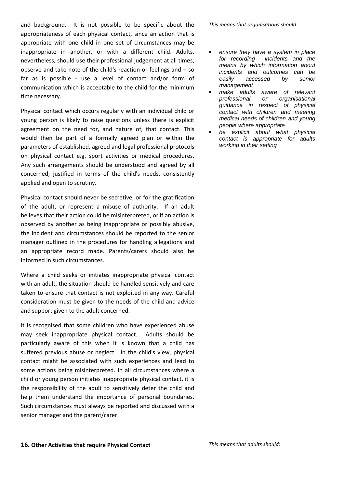and background. It is not possible to be specific about the appropriateness of each physical contact, since an action that is appropriate with one child in one set of circumstances may be inappropriate in another, or with a different child. Adults, nevertheless, should use their professional judgement at all times, observe and take note of the child's reaction or feelings and – so far as is possible - use a level of contact and/or form of communication which is acceptable to the child for the minimum time necessary.

Physical contact which occurs regularly with an individual child or young person is likely to raise questions unless there is explicit agreement on the need for, and nature of, that contact. This would then be part of a formally agreed plan or within the parameters of established, agreed and legal professional protocols on physical contact e.g. sport activities or medical procedures. Any such arrangements should be understood and agreed by all concerned, justified in terms of the child's needs, consistently applied and open to scrutiny.

Physical contact should never be secretive, or for the gratification of the adult, or represent a misuse of authority. If an adult believes that their action could be misinterpreted, or if an action is observed by another as being inappropriate or possibly abusive, the incident and circumstances should be reported to the senior manager outlined in the procedures for handling allegations and an appropriate record made. Parents/carers should also be informed in such circumstances.

Where a child seeks or initiates inappropriate physical contact with an adult, the situation should be handled sensitively and care taken to ensure that contact is not exploited in any way. Careful consideration must be given to the needs of the child and advice and support given to the adult concerned.

It is recognised that some children who have experienced abuse may seek inappropriate physical contact. Adults should be particularly aware of this when it is known that a child has suffered previous abuse or neglect. In the child's view, physical contact might be associated with such experiences and lead to some actions being misinterpreted. In all circumstances where a child or young person initiates inappropriate physical contact, it is the responsibility of the adult to sensitively deter the child and help them understand the importance of personal boundaries. Such circumstances must always be reported and discussed with a senior manager and the parent/carer.

*This means that organisations should:*

- *ensure they have a system in place for recording incidents and the means by which information about incidents and outcomes can be easily accessed by senior management*
- *make adults aware of relevant professional or organisational guidance in respect of physical contact with children and meeting medical needs of children and young people where appropriate*
- *be explicit about what physical contact is appropriate for adults working in their setting*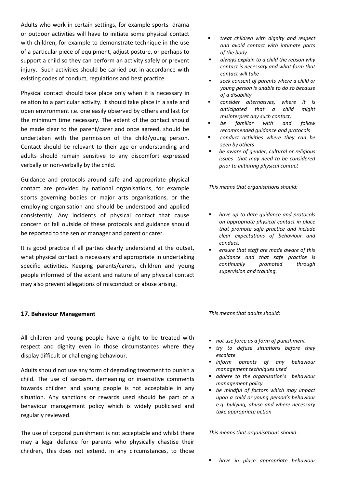Adults who work in certain settings, for example sports drama or outdoor activities will have to initiate some physical contact with children, for example to demonstrate technique in the use of a particular piece of equipment, adjust posture, or perhaps to support a child so they can perform an activity safely or prevent injury. Such activities should be carried out in accordance with existing codes of conduct, regulations and best practice.

Physical contact should take place only when it is necessary in relation to a particular activity. It should take place in a safe and open environment i.e. one easily observed by others and last for the minimum time necessary. The extent of the contact should be made clear to the parent/carer and once agreed, should be undertaken with the permission of the child/young person. Contact should be relevant to their age or understanding and adults should remain sensitive to any discomfort expressed verbally or non-verbally by the child.

Guidance and protocols around safe and appropriate physical contact are provided by national organisations, for example sports governing bodies or major arts organisations, or the employing organisation and should be understood and applied consistently. Any incidents of physical contact that cause concern or fall outside of these protocols and guidance should be reported to the senior manager and parent or carer.

It is good practice if all parties clearly understand at the outset, what physical contact is necessary and appropriate in undertaking specific activities. Keeping parents/carers, children and young people informed of the extent and nature of any physical contact may also prevent allegations of misconduct or abuse arising.

#### **17. Behaviour Management**

All children and young people have a right to be treated with respect and dignity even in those circumstances where they display difficult or challenging behaviour.

Adults should not use any form of degrading treatment to punish a child. The use of sarcasm, demeaning or insensitive comments towards children and young people is not acceptable in any situation. Any sanctions or rewards used should be part of a behaviour management policy which is widely publicised and regularly reviewed.

The use of corporal punishment is not acceptable and whilst there may a legal defence for parents who physically chastise their children, this does not extend, in any circumstances, to those

- *treat children with dignity and respect and avoid contact with intimate parts of the body*
- *always explain to a child the reason why contact is necessary and what form that contact will take*
- *seek consent of parents where a child or young person is unable to do so because of a disability.*
- *consider alternatives, where it is anticipated that a child might misinterpret any such contact,*
- *be familiar with and follow recommended guidance and protocols*
- *conduct activities where they can be seen by others*
- *be aware of gender, cultural or religious issues that may need to be considered prior to initiating physical contact*

*This means that organisations should:*

- *have up to date guidance and protocols on appropriate physical contact in place that promote safe practice and include clear expectations of behaviour and conduct.*
- *ensure that staff are made aware of this guidance and that safe practice is continually promoted through supervision and training.*

*This means that adults should:*

- *not use force as a form of punishment*
- *try to defuse situations before they escalate*
- *inform parents of any behaviour management techniques used*
- *adhere to the organisation's behaviour management policy*
- *be mindful of factors which may impact upon a child or young person's behaviour e.g. bullying, abuse and where necessary take appropriate action*

*This means that organisations should:*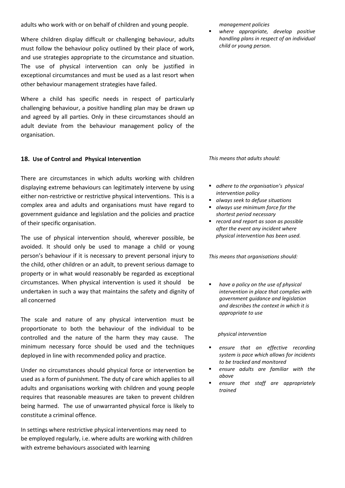adults who work with or on behalf of children and young people.

Where children display difficult or challenging behaviour, adults must follow the behaviour policy outlined by their place of work, and use strategies appropriate to the circumstance and situation. The use of physical intervention can only be justified in exceptional circumstances and must be used as a last resort when other behaviour management strategies have failed.

Where a child has specific needs in respect of particularly challenging behaviour, a positive handling plan may be drawn up and agreed by all parties. Only in these circumstances should an adult deviate from the behaviour management policy of the organisation.

#### **18. Use of Control and Physical Intervention**

There are circumstances in which adults working with children displaying extreme behaviours can legitimately intervene by using either non-restrictive or restrictive physical interventions. This is a complex area and adults and organisations must have regard to government guidance and legislation and the policies and practice of their specific organisation.

The use of physical intervention should, wherever possible, be avoided. It should only be used to manage a child or young person's behaviour if it is necessary to prevent personal injury to the child, other children or an adult, to prevent serious damage to property or in what would reasonably be regarded as exceptional circumstances. When physical intervention is used it should be undertaken in such a way that maintains the safety and dignity of all concerned

The scale and nature of any physical intervention must be proportionate to both the behaviour of the individual to be controlled and the nature of the harm they may cause. The minimum necessary force should be used and the techniques deployed in line with recommended policy and practice.

Under no circumstances should physical force or intervention be used as a form of punishment. The duty of care which applies to all adults and organisations working with children and young people requires that reasonable measures are taken to prevent children being harmed. The use of unwarranted physical force is likely to constitute a criminal offence.

In settings where restrictive physical interventions may need to be employed regularly, i.e. where adults are working with children with extreme behaviours associated with learning

*management policies*

 *where appropriate, develop positive handling plans in respect of an individual child or young person.*

*This means that adults should:*

- *adhere to the organisation's physical intervention policy*
- *always seek to defuse situations*
- *always use minimum force for the shortest period necessary*
- *record and report as soon as possible after the event any incident where physical intervention has been used.*

*This means that organisations should:*

 *have a policy on the use of physical intervention in place that complies with government guidance and legislation and describes the context in which it is appropriate to use*

#### *physical intervention*

- *ensure that an effective recording system is pace which allows for incidents to be tracked and monitored*
- *ensure adults are familiar with the above*
- *ensure that staff are appropriately trained*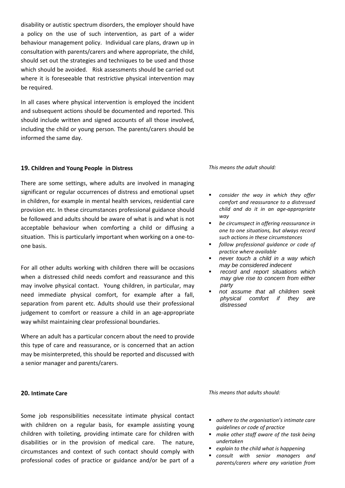disability or autistic spectrum disorders, the employer should have a policy on the use of such intervention, as part of a wider behaviour management policy. Individual care plans, drawn up in consultation with parents/carers and where appropriate, the child, should set out the strategies and techniques to be used and those which should be avoided. Risk assessments should be carried out where it is foreseeable that restrictive physical intervention may be required.

In all cases where physical intervention is employed the incident and subsequent actions should be documented and reported. This should include written and signed accounts of all those involved, including the child or young person. The parents/carers should be informed the same day.

#### **19. Children and Young People in Distress**

There are some settings, where adults are involved in managing significant or regular occurrences of distress and emotional upset in children, for example in mental health services, residential care provision etc. In these circumstances professional guidance should be followed and adults should be aware of what is and what is not acceptable behaviour when comforting a child or diffusing a situation. This is particularly important when working on a one-toone basis.

For all other adults working with children there will be occasions when a distressed child needs comfort and reassurance and this may involve physical contact. Young children, in particular, may need immediate physical comfort, for example after a fall, separation from parent etc. Adults should use their professional judgement to comfort or reassure a child in an age-appropriate way whilst maintaining clear professional boundaries.

Where an adult has a particular concern about the need to provide this type of care and reassurance, or is concerned that an action may be misinterpreted, this should be reported and discussed with a senior manager and parents/carers.

#### **20. Intimate Care**

Some job responsibilities necessitate intimate physical contact with children on a regular basis, for example assisting young children with toileting, providing intimate care for children with disabilities or in the provision of medical care. The nature, circumstances and context of such contact should comply with professional codes of practice or guidance and/or be part of a *This means the adult should:*

- *consider the way in which they offer comfort and reassurance to a distressed child and do it in an age-appropriate way*
- *be circumspect in offering reassurance in one to one situations, but always record such actions in these circumstances*
- *follow professional guidance or code of practice where available*
- *never touch a child in a way which may be considered indecent*
- *record and report situations which may give rise to concern from either party*
- *not assume that all children seek physical comfort if they are distressed*

- *adhere to the organisation's intimate care guidelines or code of practice*
- *make other staff aware of the task being undertaken*
- *explain to the child what is happening*
- *consult with senior managers and parents/carers where any variation from*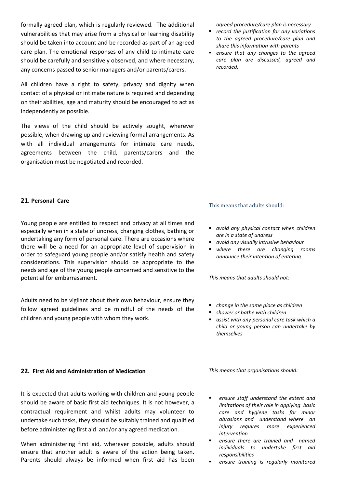formally agreed plan, which is regularly reviewed. The additional vulnerabilities that may arise from a physical or learning disability should be taken into account and be recorded as part of an agreed care plan. The emotional responses of any child to intimate care should be carefully and sensitively observed, and where necessary, any concerns passed to senior managers and/or parents/carers.

All children have a right to safety, privacy and dignity when contact of a physical or intimate nature is required and depending on their abilities, age and maturity should be encouraged to act as independently as possible.

The views of the child should be actively sought, wherever possible, when drawing up and reviewing formal arrangements. As with all individual arrangements for intimate care needs, agreements between the child, parents/carers and the organisation must be negotiated and recorded.

**21. Personal Care**

Young people are entitled to respect and privacy at all times and especially when in a state of undress, changing clothes, bathing or undertaking any form of personal care. There are occasions where there will be a need for an appropriate level of supervision in order to safeguard young people and/or satisfy health and safety considerations. This supervision should be appropriate to the needs and age of the young people concerned and sensitive to the potential for embarrassment.

Adults need to be vigilant about their own behaviour, ensure they follow agreed guidelines and be mindful of the needs of the children and young people with whom they work.

# **22. First Aid and Administration of Medication**

It is expected that adults working with children and young people should be aware of basic first aid techniques. It is not however, a contractual requirement and whilst adults may volunteer to undertake such tasks, they should be suitably trained and qualified before administering first aid and/or any agreed medication.

When administering first aid, wherever possible, adults should ensure that another adult is aware of the action being taken. Parents should always be informed when first aid has been *agreed procedure/care plan is necessary*

- *record the justification for any variations to the agreed procedure/care plan and share this information with parents*
- *ensure that any changes to the agreed care plan are discussed, agreed and recorded.*

# This means that adults should:

- *avoid any physical contact when children are in a state of undress*
- *avoid any visually intrusive behaviour*
- *where there are changing rooms announce their intention of entering*

*This means that adults should not:*

- *change in the same place as children*
- *shower or bathe with children*
- *assist with any personal care task which a child or young person can undertake by themselves*

*This means that organisations should:*

- *ensure staff understand the extent and limitations of their role in applying basic care and hygiene tasks for minor abrasions and understand where an injury requires more experienced intervention*
- *ensure there are trained and named individuals to undertake first aid responsibilities*
- *ensure training is regularly monitored*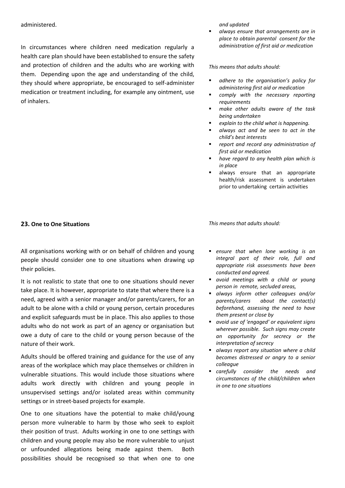#### administered.

In circumstances where children need medication regularly a health care plan should have been established to ensure the safety and protection of children and the adults who are working with them. Depending upon the age and understanding of the child, they should where appropriate, be encouraged to self-administer medication or treatment including, for example any ointment, use of inhalers.

*and updated*

 *always ensure that arrangements are in place to obtain parental consent for the administration of first aid or medication* 

*This means that adults should:*

- *adhere to the organisation's policy for administering first aid or medication*
- *comply with the necessary reporting requirements*
- *make other adults aware of the task being undertaken*
- *explain to the child what is happening.*
- *always act and be seen to act in the child's best interests*
- *report and record any administration of first aid or medication*
- *have regard to any health plan which is in place*
- always ensure that an appropriate health/risk assessment is undertaken prior to undertaking certain activities

#### **23. One to One Situations**

All organisations working with or on behalf of children and young people should consider one to one situations when drawing up their policies.

It is not realistic to state that one to one situations should never take place. It is however, appropriate to state that where there is a need, agreed with a senior manager and/or parents/carers, for an adult to be alone with a child or young person, certain procedures and explicit safeguards must be in place. This also applies to those adults who do not work as part of an agency or organisation but owe a duty of care to the child or young person because of the nature of their work.

Adults should be offered training and guidance for the use of any areas of the workplace which may place themselves or children in vulnerable situations. This would include those situations where adults work directly with children and young people in unsupervised settings and/or isolated areas within community settings or in street-based projects for example.

One to one situations have the potential to make child/young person more vulnerable to harm by those who seek to exploit their position of trust. Adults working in one to one settings with children and young people may also be more vulnerable to unjust or unfounded allegations being made against them. Both possibilities should be recognised so that when one to one

- *ensure that when lone working is an integral part of their role, full and appropriate risk assessments have been conducted and agreed.*
- *avoid meetings with a child or young person in remote, secluded areas,*
- *always inform other colleagues and/or parents/carers about the contact(s) beforehand, assessing the need to have them present or close by*
- *avoid use of 'engaged' or equivalent signs wherever possible. Such signs may create an opportunity for secrecy or the interpretation of secrecy*
- *always report any situation where a child becomes distressed or angry to a senior colleague*
- *carefully consider the needs and circumstances of the child/children when in one to one situations*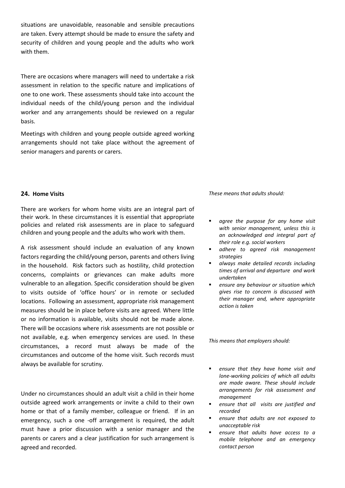situations are unavoidable, reasonable and sensible precautions are taken. Every attempt should be made to ensure the safety and security of children and young people and the adults who work with them.

There are occasions where managers will need to undertake a risk assessment in relation to the specific nature and implications of one to one work. These assessments should take into account the individual needs of the child/young person and the individual worker and any arrangements should be reviewed on a regular basis.

Meetings with children and young people outside agreed working arrangements should not take place without the agreement of senior managers and parents or carers.

#### **24. Home Visits**

There are workers for whom home visits are an integral part of their work. In these circumstances it is essential that appropriate policies and related risk assessments are in place to safeguard children and young people and the adults who work with them.

A risk assessment should include an evaluation of any known factors regarding the child/young person, parents and others living in the household. Risk factors such as hostility, child protection concerns, complaints or grievances can make adults more vulnerable to an allegation. Specific consideration should be given to visits outside of 'office hours' or in remote or secluded locations. Following an assessment, appropriate risk management measures should be in place before visits are agreed. Where little or no information is available, visits should not be made alone. There will be occasions where risk assessments are not possible or not available, e.g. when emergency services are used. In these circumstances, a record must always be made of the circumstances and outcome of the home visit. Such records must always be available for scrutiny.

Under no circumstances should an adult visit a child in their home outside agreed work arrangements or invite a child to their own home or that of a family member, colleague or friend. If in an emergency, such a one -off arrangement is required, the adult must have a prior discussion with a senior manager and the parents or carers and a clear justification for such arrangement is agreed and recorded.

*These means that adults should:* 

- *agree the purpose for any home visit with senior management, unless this is an acknowledged and integral part of their role e.g. social workers*
- *adhere to agreed risk management strategies*
- *always make detailed records including times of arrival and departure and work undertaken*
- *ensure any behaviour or situation which gives rise to concern is discussed with their manager and, where appropriate action is taken*

*This means that employers should:*

- *ensure that they have home visit and lone-working policies of which all adults are made aware. These should include arrangements for risk assessment and management*
- *ensure that all visits are justified and recorded*
- *ensure that adults are not exposed to unacceptable risk*
- *ensure that adults have access to a mobile telephone and an emergency contact person*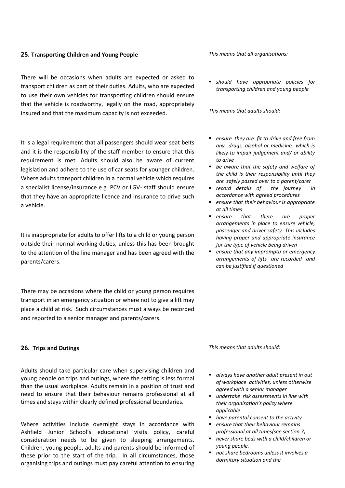#### **25. Transporting Children and Young People**

There will be occasions when adults are expected or asked to transport children as part of their duties. Adults, who are expected to use their own vehicles for transporting children should ensure that the vehicle is roadworthy, legally on the road, appropriately insured and that the maximum capacity is not exceeded.

It is a legal requirement that all passengers should wear seat belts and it is the responsibility of the staff member to ensure that this requirement is met. Adults should also be aware of current legislation and adhere to the use of car seats for younger children. Where adults transport children in a normal vehicle which requires a specialist license/insurance e.g. PCV or LGV- staff should ensure that they have an appropriate licence and insurance to drive such a vehicle.

It is inappropriate for adults to offer lifts to a child or young person outside their normal working duties, unless this has been brought to the attention of the line manager and has been agreed with the parents/carers.

There may be occasions where the child or young person requires transport in an emergency situation or where not to give a lift may place a child at risk. Such circumstances must always be recorded and reported to a senior manager and parents/carers.

#### **26. Trips and Outings**

Adults should take particular care when supervising children and young people on trips and outings, where the setting is less formal than the usual workplace. Adults remain in a position of trust and need to ensure that their behaviour remains professional at all times and stays within clearly defined professional boundaries.

Where activities include overnight stays in accordance with Ashfield Junior School's educational visits policy, careful consideration needs to be given to sleeping arrangements. Children, young people, adults and parents should be informed of these prior to the start of the trip. In all circumstances, those organising trips and outings must pay careful attention to ensuring *This means that all organisations:*

 *should have appropriate policies for transporting children and young people*

*This means that adults should:*

- *ensure they are fit to drive and free from any drugs, alcohol or medicine which is likely to impair judgement and/ or ability to drive*
- *be aware that the safety and welfare of the child is their responsibility until they are safely passed over to a parent/carer*
- *record details of the journey in accordance with agreed procedures*
- *ensure that their behaviour is appropriate at all times*
- *ensure that there are proper arrangements in place to ensure vehicle, passenger and driver safety. This includes having proper and appropriate insurance for the type of vehicle being driven*
- *ensure that any impromptu or emergency arrangements of lifts are recorded and can be justified if questioned*

- *always have another adult present in out of workplace activities, unless otherwise agreed with a senior manager*
- *undertake risk assessments in line with their organisation's policy where applicable*
- *have parental consent to the activity*
- *ensure that their behaviour remains professional at all times(see section 7)*
- *never share beds with a child/children or young people.*
- *not share bedrooms unless it involves a dormitory situation and the*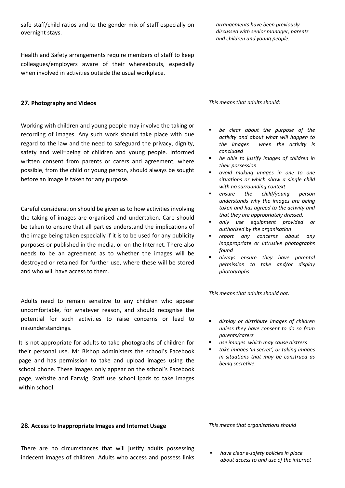safe staff/child ratios and to the gender mix of staff especially on overnight stays.

Health and Safety arrangements require members of staff to keep colleagues/employers aware of their whereabouts, especially when involved in activities outside the usual workplace.

#### **27. Photography and Videos**

Working with children and young people may involve the taking or recording of images. Any such work should take place with due regard to the law and the need to safeguard the privacy, dignity, safety and well=being of children and young people. Informed written consent from parents or carers and agreement, where possible, from the child or young person, should always be sought before an image is taken for any purpose.

Careful consideration should be given as to how activities involving the taking of images are organised and undertaken. Care should be taken to ensure that all parties understand the implications of the image being taken especially if it is to be used for any publicity purposes or published in the media, or on the Internet. There also needs to be an agreement as to whether the images will be destroyed or retained for further use, where these will be stored and who will have access to them.

Adults need to remain sensitive to any children who appear uncomfortable, for whatever reason, and should recognise the potential for such activities to raise concerns or lead to misunderstandings.

It is not appropriate for adults to take photographs of children for their personal use. Mr Bishop administers the school's Facebook page and has permission to take and upload images using the school phone. These images only appear on the school's Facebook page, website and Earwig. Staff use school ipads to take images within school.

#### **28. Access to Inappropriate Images and Internet Usage**

There are no circumstances that will justify adults possessing indecent images of children. Adults who access and possess links *arrangements have been previously discussed with senior manager, parents and children and young people.* 

*This means that adults should:*

- *be clear about the purpose of the activity and about what will happen to the images when the activity is concluded*
- *be able to justify images of children in their possession*
- *avoid making images in one to one situations or which show a single child with no surrounding context*
- *ensure the child/young person understands why the images are being taken and has agreed to the activity and that they are appropriately dressed.*
- *only use equipment provided or authorised by the organisation*
- *report any concerns about any inappropriate or intrusive photographs found*
- *always ensure they have parental permission to take and/or display photographs*

*This means that adults should not:*

- *display or distribute images of children unless they have consent to do so from parents/carers*
- *use images which may cause distress*
- *take images 'in secret', or taking images in situations that may be construed as being secretive.*

*This means that organisations should* 

 *have clear e-safety policies in place about access to and use of the internet*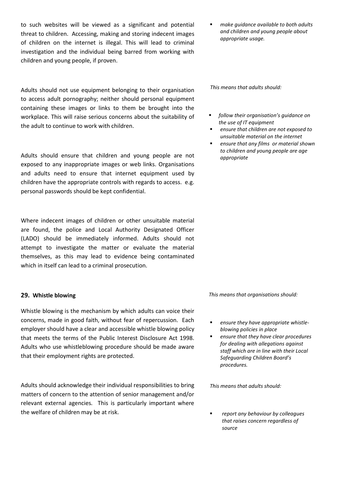to such websites will be viewed as a significant and potential threat to children. Accessing, making and storing indecent images of children on the internet is illegal. This will lead to criminal investigation and the individual being barred from working with children and young people, if proven.

Adults should not use equipment belonging to their organisation to access adult pornography; neither should personal equipment containing these images or links to them be brought into the workplace. This will raise serious concerns about the suitability of the adult to continue to work with children.

Adults should ensure that children and young people are not exposed to any inappropriate images or web links. Organisations and adults need to ensure that internet equipment used by children have the appropriate controls with regards to access. e.g. personal passwords should be kept confidential.

Where indecent images of children or other unsuitable material are found, the police and Local Authority Designated Officer (LADO) should be immediately informed. Adults should not attempt to investigate the matter or evaluate the material themselves, as this may lead to evidence being contaminated which in itself can lead to a criminal prosecution.

# **29. Whistle blowing**

Whistle blowing is the mechanism by which adults can voice their concerns, made in good faith, without fear of repercussion. Each employer should have a clear and accessible whistle blowing policy that meets the terms of the Public Interest Disclosure Act 1998. Adults who use whistleblowing procedure should be made aware that their employment rights are protected.

Adults should acknowledge their individual responsibilities to bring matters of concern to the attention of senior management and/or relevant external agencies. This is particularly important where the welfare of children may be at risk.

 *make guidance available to both adults and children and young people about appropriate usage.*

*This means that adults should:*

- *follow their organisation's guidance on the use of IT equipment*
- *ensure that children are not exposed to unsuitable material on the internet*
- *ensure that any films or material shown to children and young people are age appropriate*

*This means that organisations should:*

- *ensure they have appropriate whistleblowing policies in place*
- *ensure that they have clear procedures for dealing with allegations against staff which are in line with their Local Safeguarding Children Board's procedures.*

*This means that adults should:*

 *report any behaviour by colleagues that raises concern regardless of source*